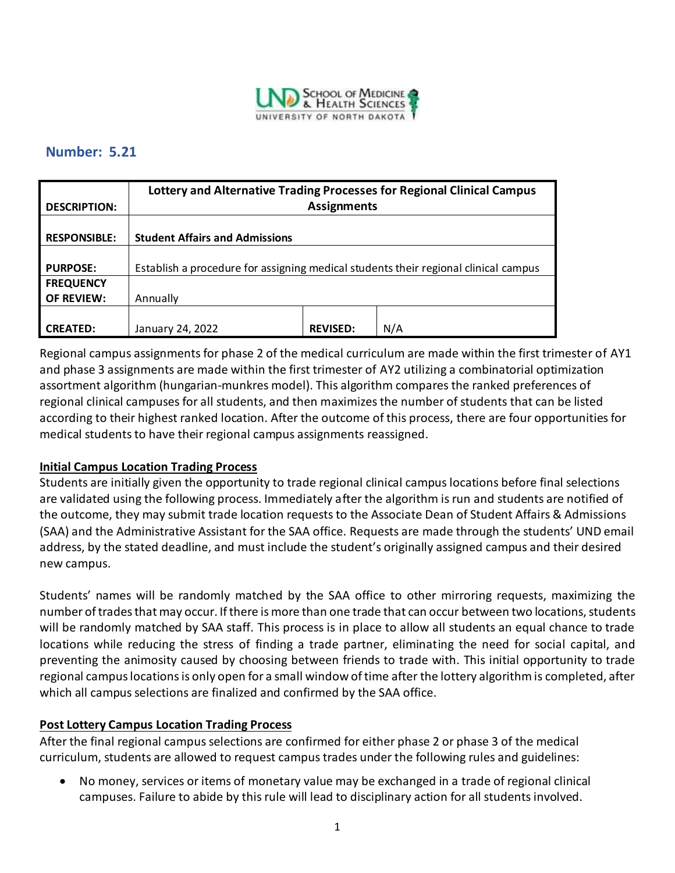

# **Number: 5.21**

|                     | Lottery and Alternative Trading Processes for Regional Clinical Campus              |                 |     |
|---------------------|-------------------------------------------------------------------------------------|-----------------|-----|
| <b>DESCRIPTION:</b> | <b>Assignments</b>                                                                  |                 |     |
|                     |                                                                                     |                 |     |
| <b>RESPONSIBLE:</b> | <b>Student Affairs and Admissions</b>                                               |                 |     |
|                     |                                                                                     |                 |     |
| <b>PURPOSE:</b>     | Establish a procedure for assigning medical students their regional clinical campus |                 |     |
| <b>FREQUENCY</b>    |                                                                                     |                 |     |
| <b>OF REVIEW:</b>   | Annually                                                                            |                 |     |
|                     |                                                                                     |                 |     |
| <b>CREATED:</b>     | January 24, 2022                                                                    | <b>REVISED:</b> | N/A |

Regional campus assignments for phase 2 of the medical curriculum are made within the first trimester of AY1 and phase 3 assignments are made within the first trimester of AY2 utilizing a combinatorial optimization assortment algorithm (hungarian-munkres model). This algorithm compares the ranked preferences of regional clinical campuses for all students, and then maximizes the number of students that can be listed according to their highest ranked location. After the outcome of this process, there are four opportunities for medical students to have their regional campus assignments reassigned.

### **Initial Campus Location Trading Process**

Students are initially given the opportunity to trade regional clinical campus locations before final selections are validated using the following process. Immediately after the algorithm is run and students are notified of the outcome, they may submit trade location requests to the Associate Dean of Student Affairs & Admissions (SAA) and the Administrative Assistant for the SAA office. Requests are made through the students' UND email address, by the stated deadline, and must include the student's originally assigned campus and their desired new campus.

Students' names will be randomly matched by the SAA office to other mirroring requests, maximizing the number of trades that may occur. If there is more than one trade that can occur between two locations, students will be randomly matched by SAA staff. This process is in place to allow all students an equal chance to trade locations while reducing the stress of finding a trade partner, eliminating the need for social capital, and preventing the animosity caused by choosing between friends to trade with. This initial opportunity to trade regional campus locations is only open for a small window of time after the lottery algorithm is completed, after which all campus selections are finalized and confirmed by the SAA office.

### **Post Lottery Campus Location Trading Process**

After the final regional campus selections are confirmed for either phase 2 or phase 3 of the medical curriculum, students are allowed to request campus trades under the following rules and guidelines:

• No money, services or items of monetary value may be exchanged in a trade of regional clinical campuses. Failure to abide by this rule will lead to disciplinary action for all students involved.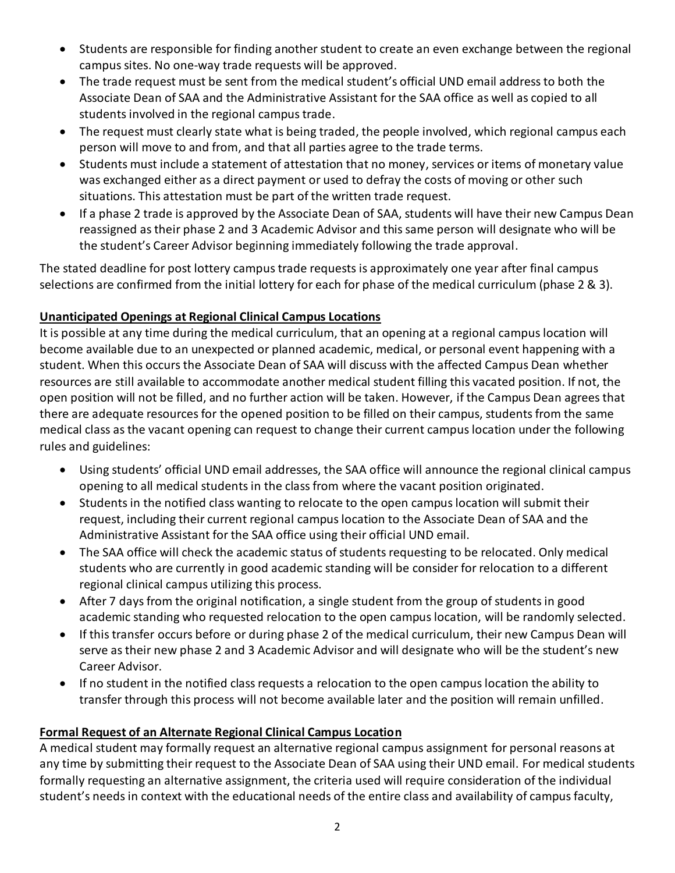- Students are responsible for finding another student to create an even exchange between the regional campus sites. No one-way trade requests will be approved.
- The trade request must be sent from the medical student's official UND email address to both the Associate Dean of SAA and the Administrative Assistant for the SAA office as well as copied to all students involved in the regional campus trade.
- The request must clearly state what is being traded, the people involved, which regional campus each person will move to and from, and that all parties agree to the trade terms.
- Students must include a statement of attestation that no money, services or items of monetary value was exchanged either as a direct payment or used to defray the costs of moving or other such situations. This attestation must be part of the written trade request.
- If a phase 2 trade is approved by the Associate Dean of SAA, students will have their new Campus Dean reassigned as their phase 2 and 3 Academic Advisor and this same person will designate who will be the student's Career Advisor beginning immediately following the trade approval.

The stated deadline for post lottery campus trade requests is approximately one year after final campus selections are confirmed from the initial lottery for each for phase of the medical curriculum (phase 2 & 3).

## **Unanticipated Openings at Regional Clinical Campus Locations**

It is possible at any time during the medical curriculum, that an opening at a regional campus location will become available due to an unexpected or planned academic, medical, or personal event happening with a student. When this occurs the Associate Dean of SAA will discuss with the affected Campus Dean whether resources are still available to accommodate another medical student filling this vacated position. If not, the open position will not be filled, and no further action will be taken. However, if the Campus Dean agrees that there are adequate resources for the opened position to be filled on their campus, students from the same medical class as the vacant opening can request to change their current campus location under the following rules and guidelines:

- Using students' official UND email addresses, the SAA office will announce the regional clinical campus opening to all medical students in the class from where the vacant position originated.
- Students in the notified class wanting to relocate to the open campus location will submit their request, including their current regional campus location to the Associate Dean of SAA and the Administrative Assistant for the SAA office using their official UND email.
- The SAA office will check the academic status of students requesting to be relocated. Only medical students who are currently in good academic standing will be consider for relocation to a different regional clinical campus utilizing this process.
- After 7 days from the original notification, a single student from the group of students in good academic standing who requested relocation to the open campus location, will be randomly selected.
- If this transfer occurs before or during phase 2 of the medical curriculum, their new Campus Dean will serve as their new phase 2 and 3 Academic Advisor and will designate who will be the student's new Career Advisor.
- If no student in the notified class requests a relocation to the open campus location the ability to transfer through this process will not become available later and the position will remain unfilled.

## **Formal Request of an Alternate Regional Clinical Campus Location**

A medical student may formally request an alternative regional campus assignment for personal reasons at any time by submitting their request to the Associate Dean of SAA using their UND email. For medical students formally requesting an alternative assignment, the criteria used will require consideration of the individual student's needs in context with the educational needs of the entire class and availability of campus faculty,